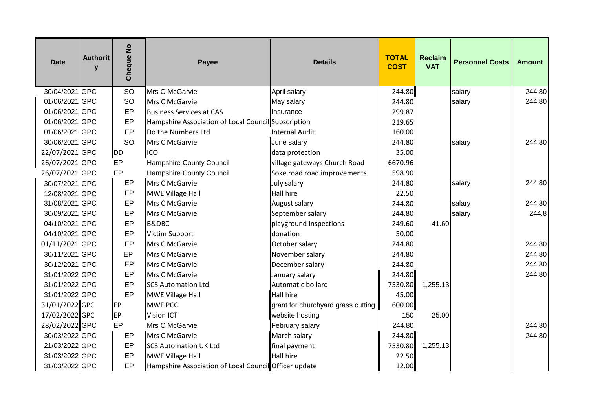| <b>Date</b>    | <b>Authorit</b><br>$\mathbf{V}$ | $\frac{1}{2}$<br>Cheque | Payee                                                 | <b>Details</b>                     | <b>TOTAL</b><br><b>COST</b> | <b>Reclaim</b><br><b>VAT</b> | <b>Personnel Costs</b> | <b>Amount</b> |
|----------------|---------------------------------|-------------------------|-------------------------------------------------------|------------------------------------|-----------------------------|------------------------------|------------------------|---------------|
| 30/04/2021 GPC |                                 | <b>SO</b>               | Mrs C McGarvie                                        | April salary                       | 244.80                      |                              | salary                 | 244.80        |
| 01/06/2021 GPC |                                 | SO                      | Mrs C McGarvie                                        | May salary                         | 244.80                      |                              | salary                 | 244.80        |
| 01/06/2021 GPC |                                 | EP                      | <b>Business Services at CAS</b>                       | Insurance                          | 299.87                      |                              |                        |               |
| 01/06/2021 GPC |                                 | EP                      | Hampshire Association of Local Council Subscription   |                                    | 219.65                      |                              |                        |               |
| 01/06/2021 GPC |                                 | EP                      | Do the Numbers Ltd                                    | <b>Internal Audit</b>              | 160.00                      |                              |                        |               |
| 30/06/2021 GPC |                                 | <b>SO</b>               | Mrs C McGarvie                                        | June salary                        | 244.80                      |                              | salary                 | 244.80        |
| 22/07/2021 GPC |                                 | DD                      | ICO                                                   | data protection                    | 35.00                       |                              |                        |               |
| 26/07/2021 GPC |                                 | EP                      | <b>Hampshire County Council</b>                       | village gateways Church Road       | 6670.96                     |                              |                        |               |
| 26/07/2021 GPC |                                 | EP                      | Hampshire County Council                              | Soke road road improvements        | 598.90                      |                              |                        |               |
| 30/07/2021 GPC |                                 | EP                      | Mrs C McGarvie                                        | July salary                        | 244.80                      |                              | salary                 | 244.80        |
| 12/08/2021 GPC |                                 | EP                      | <b>MWE Village Hall</b>                               | <b>Hall hire</b>                   | 22.50                       |                              |                        |               |
| 31/08/2021 GPC |                                 | EP                      | Mrs C McGarvie                                        | August salary                      | 244.80                      |                              | salary                 | 244.80        |
| 30/09/2021 GPC |                                 | EP                      | Mrs C McGarvie                                        | September salary                   | 244.80                      |                              | salary                 | 244.8         |
| 04/10/2021 GPC |                                 | EP                      | <b>B&amp;DBC</b>                                      | playground inspections             | 249.60                      | 41.60                        |                        |               |
| 04/10/2021 GPC |                                 | EP                      | Victim Support                                        | donation                           | 50.00                       |                              |                        |               |
| 01/11/2021 GPC |                                 | EP                      | Mrs C McGarvie                                        | October salary                     | 244.80                      |                              |                        | 244.80        |
| 30/11/2021 GPC |                                 | EP                      | Mrs C McGarvie                                        | November salary                    | 244.80                      |                              |                        | 244.80        |
| 30/12/2021 GPC |                                 | EP                      | <b>Mrs C McGarvie</b>                                 | December salary                    | 244.80                      |                              |                        | 244.80        |
| 31/01/2022 GPC |                                 | EP                      | <b>Mrs C McGarvie</b>                                 | January salary                     | 244.80                      |                              |                        | 244.80        |
| 31/01/2022 GPC |                                 | EP                      | <b>ISCS Automation Ltd</b>                            | Automatic bollard                  | 7530.80                     | 1,255.13                     |                        |               |
| 31/01/2022 GPC |                                 | EP                      | MWE Village Hall                                      | <b>Hall hire</b>                   | 45.00                       |                              |                        |               |
| 31/01/2022 GPC |                                 | EP                      | <b>MWE PCC</b>                                        | grant for churchyard grass cutting | 600.00                      |                              |                        |               |
| 17/02/2022 GPC |                                 | EP                      | <b>Vision ICT</b>                                     | website hosting                    | 150                         | 25.00                        |                        |               |
| 28/02/2022 GPC |                                 | EP                      | Mrs C McGarvie                                        | February salary                    | 244.80                      |                              |                        | 244.80        |
| 30/03/2022 GPC |                                 | EP                      | Mrs C McGarvie                                        | March salary                       | 244.80                      |                              |                        | 244.80        |
| 21/03/2022 GPC |                                 | EP                      | <b>SCS Automation UK Ltd</b>                          | final payment                      | 7530.80                     | 1,255.13                     |                        |               |
| 31/03/2022 GPC |                                 | EP                      | <b>MWE Village Hall</b>                               | Hall hire                          | 22.50                       |                              |                        |               |
| 31/03/2022 GPC |                                 | EP                      | Hampshire Association of Local Council Officer update |                                    | 12.00                       |                              |                        |               |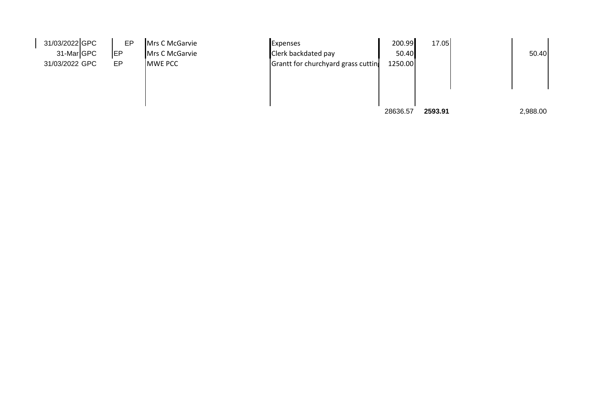| 31/03/2022 GPC | EP         | Mrs C McGarvie | <b>Expenses</b>                    | 200.99   | 17.05   |          |  |
|----------------|------------|----------------|------------------------------------|----------|---------|----------|--|
| 31-MarGPC      | <b>IEP</b> | Mrs C McGarvie | Clerk backdated pay                | 50.40    |         | 50.40    |  |
| 31/03/2022 GPC | EP         | <b>MWE PCC</b> | Grantt for churchyard grass cuttin | 1250.00  |         |          |  |
|                |            |                |                                    |          |         |          |  |
|                |            |                |                                    |          |         |          |  |
|                |            |                |                                    |          |         |          |  |
|                |            |                |                                    |          |         |          |  |
|                |            |                |                                    | 28636.57 | 2593.91 | 2,988.00 |  |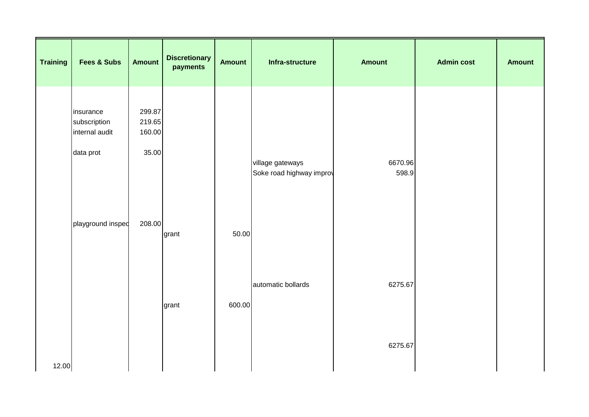| <b>Training</b> | <b>Fees &amp; Subs</b>                                   | <b>Amount</b>                       | <b>Discretionary</b><br>payments | <b>Amount</b> | Infra-structure                              | <b>Amount</b>    | <b>Admin cost</b> | <b>Amount</b> |
|-----------------|----------------------------------------------------------|-------------------------------------|----------------------------------|---------------|----------------------------------------------|------------------|-------------------|---------------|
|                 | insurance<br>subscription<br>internal audit<br>data prot | 299.87<br>219.65<br>160.00<br>35.00 |                                  |               | village gateways<br>Soke road highway improv | 6670.96<br>598.9 |                   |               |
|                 | playground insped                                        | 208.00                              | grant                            | 50.00         |                                              |                  |                   |               |
|                 |                                                          |                                     | grant                            | 600.00        | automatic bollards                           | 6275.67          |                   |               |
| 12.00           |                                                          |                                     |                                  |               |                                              | 6275.67          |                   |               |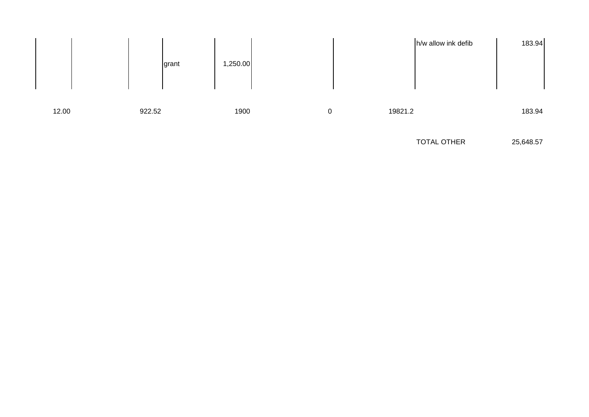

TOTAL OTHER 25,648.57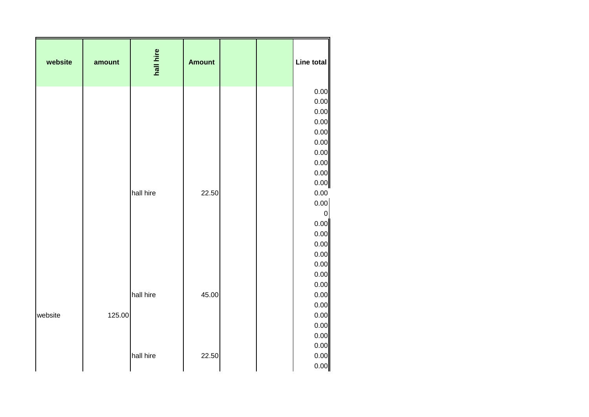| website | amount | hall hire | <b>Amount</b> |  | Line total       |
|---------|--------|-----------|---------------|--|------------------|
|         |        |           |               |  | 0.00             |
|         |        |           |               |  | 0.00             |
|         |        |           |               |  | 0.00             |
|         |        |           |               |  | 0.00             |
|         |        |           |               |  | 0.00             |
|         |        |           |               |  | 0.00             |
|         |        |           |               |  | 0.00             |
|         |        |           |               |  | 0.00             |
|         |        |           |               |  | 0.00             |
|         |        |           |               |  | 0.00             |
|         |        | hall hire | 22.50         |  | 0.00<br>0.00     |
|         |        |           |               |  | $\boldsymbol{0}$ |
|         |        |           |               |  | 0.00             |
|         |        |           |               |  | 0.00             |
|         |        |           |               |  | 0.00             |
|         |        |           |               |  | 0.00             |
|         |        |           |               |  | 0.00             |
|         |        |           |               |  | 0.00             |
|         |        |           |               |  | 0.00             |
|         |        | hall hire | 45.00         |  | 0.00             |
|         |        |           |               |  | 0.00             |
| website | 125.00 |           |               |  | 0.00             |
|         |        |           |               |  | 0.00             |
|         |        |           |               |  | 0.00             |
|         |        |           |               |  | 0.00             |
|         |        | hall hire | 22.50         |  | 0.00             |
|         |        |           |               |  | 0.00             |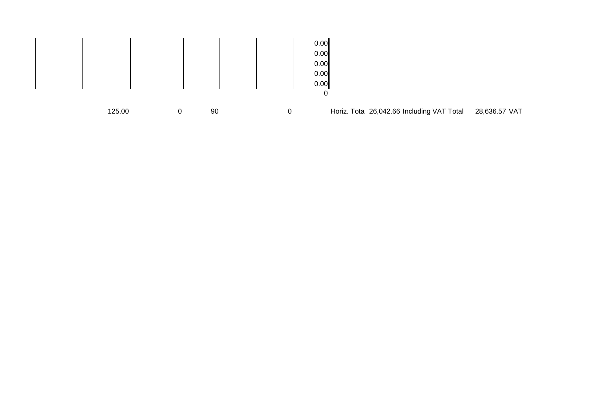|  |        |    | 0.00<br>0.00<br>0.00<br>0.00<br>0.00<br>0 |                                            |               |
|--|--------|----|-------------------------------------------|--------------------------------------------|---------------|
|  | 125.00 | 90 |                                           | Horiz. Total 26,042.66 Including VAT Total | 28,636.57 VAT |